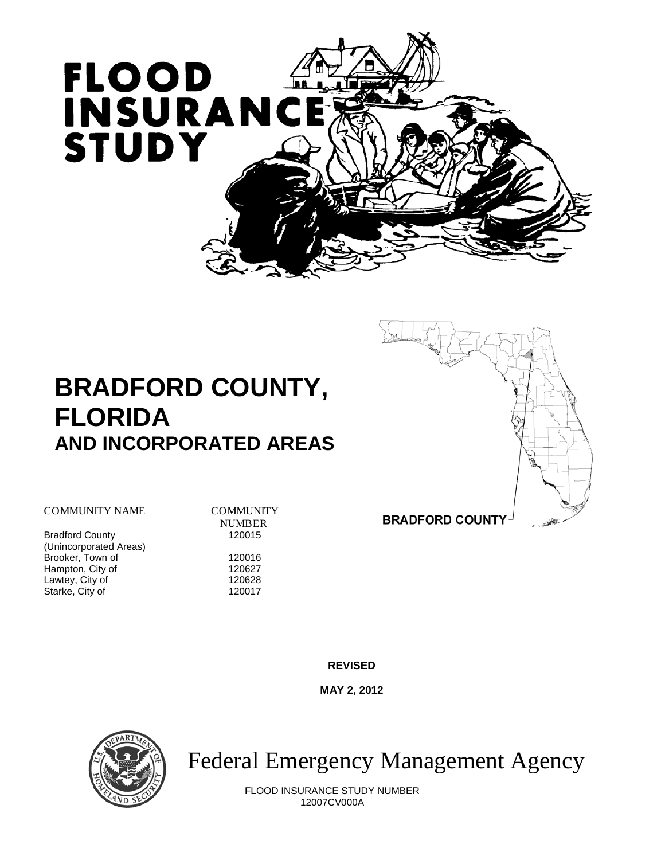

# **BRADFORD COUNTY, FLORIDA AND INCORPORATED AREAS**



COMMUNITY NAME COMMUNITY

**Bradford County** (Unincorporated Areas) Brooker, Town of 120016<br>
Hampton, City of 120627 Hampton, City of 120627<br>
Lawtey, City of 120628 Lawtey, City of 120628<br>Starke. City of 120017 Starke, City of

**NUMBER**<br>120015

**BRADFORD COUNTY** 

**REVISED**

**MAY 2, 2012**



Federal Emergency Management Agency

FLOOD INSURANCE STUDY NUMBER 12007CV000A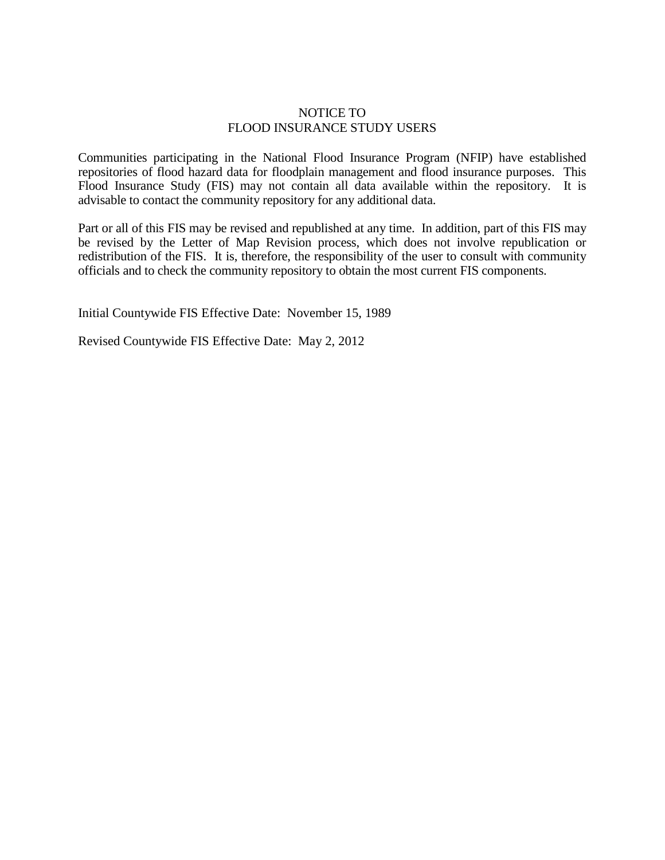# NOTICE TO FLOOD INSURANCE STUDY USERS

Communities participating in the National Flood Insurance Program (NFIP) have established repositories of flood hazard data for floodplain management and flood insurance purposes. This Flood Insurance Study (FIS) may not contain all data available within the repository. It is advisable to contact the community repository for any additional data.

Part or all of this FIS may be revised and republished at any time. In addition, part of this FIS may be revised by the Letter of Map Revision process, which does not involve republication or redistribution of the FIS. It is, therefore, the responsibility of the user to consult with community officials and to check the community repository to obtain the most current FIS components.

Initial Countywide FIS Effective Date: November 15, 1989

Revised Countywide FIS Effective Date: May 2, 2012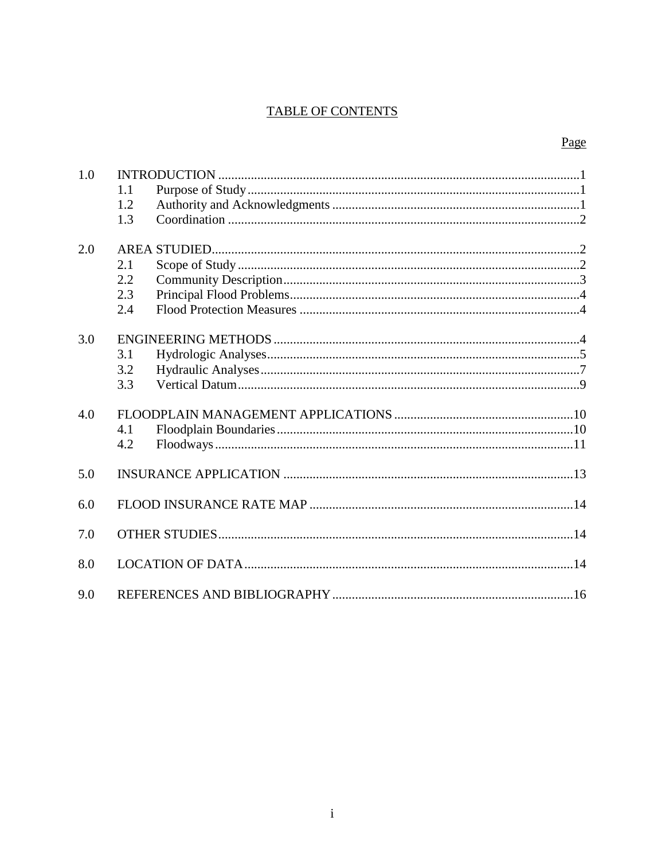# **TABLE OF CONTENTS**

# Page

| 1.0 | 1.1<br>1.2<br>1.3        |  |
|-----|--------------------------|--|
| 2.0 | 2.1<br>2.2<br>2.3<br>2.4 |  |
| 3.0 | 3.1<br>3.2<br>3.3        |  |
| 4.0 | 4.1<br>4.2               |  |
| 5.0 |                          |  |
| 6.0 |                          |  |
| 7.0 |                          |  |
| 8.0 |                          |  |
| 9.0 |                          |  |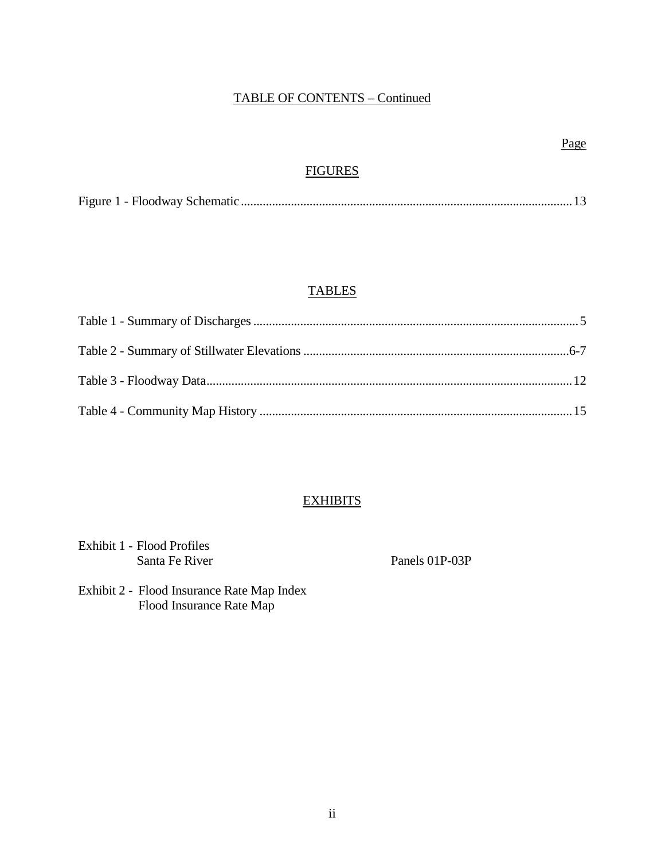# TABLE OF CONTENTS – Continued

# **FIGURES**

|--|--|--|--|--|

# **TABLES**

# **EXHIBITS**

| Exhibit 1 - Flood Profiles |
|----------------------------|
| Santa Fe River             |

Panels 01P-03P

Exhibit 2 - Flood Insurance Rate Map Index Flood Insurance Rate Map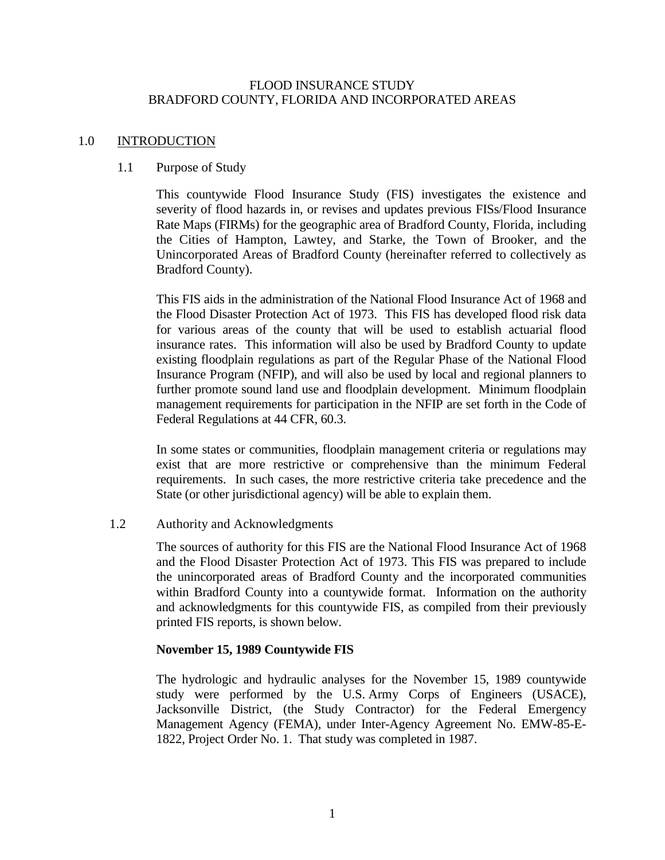#### FLOOD INSURANCE STUDY BRADFORD COUNTY, FLORIDA AND INCORPORATED AREAS

#### 1.0 INTRODUCTION

#### 1.1 Purpose of Study

This countywide Flood Insurance Study (FIS) investigates the existence and severity of flood hazards in, or revises and updates previous FISs/Flood Insurance Rate Maps (FIRMs) for the geographic area of Bradford County, Florida, including the Cities of Hampton, Lawtey, and Starke, the Town of Brooker, and the Unincorporated Areas of Bradford County (hereinafter referred to collectively as Bradford County).

This FIS aids in the administration of the National Flood Insurance Act of 1968 and the Flood Disaster Protection Act of 1973. This FIS has developed flood risk data for various areas of the county that will be used to establish actuarial flood insurance rates. This information will also be used by Bradford County to update existing floodplain regulations as part of the Regular Phase of the National Flood Insurance Program (NFIP), and will also be used by local and regional planners to further promote sound land use and floodplain development. Minimum floodplain management requirements for participation in the NFIP are set forth in the Code of Federal Regulations at 44 CFR, 60.3.

In some states or communities, floodplain management criteria or regulations may exist that are more restrictive or comprehensive than the minimum Federal requirements. In such cases, the more restrictive criteria take precedence and the State (or other jurisdictional agency) will be able to explain them.

# 1.2 Authority and Acknowledgments

The sources of authority for this FIS are the National Flood Insurance Act of 1968 and the Flood Disaster Protection Act of 1973. This FIS was prepared to include the unincorporated areas of Bradford County and the incorporated communities within Bradford County into a countywide format. Information on the authority and acknowledgments for this countywide FIS, as compiled from their previously printed FIS reports, is shown below.

# **November 15, 1989 Countywide FIS**

The hydrologic and hydraulic analyses for the November 15, 1989 countywide study were performed by the U.S. Army Corps of Engineers (USACE), Jacksonville District, (the Study Contractor) for the Federal Emergency Management Agency (FEMA), under Inter-Agency Agreement No. EMW-85-E-1822, Project Order No. 1. That study was completed in 1987.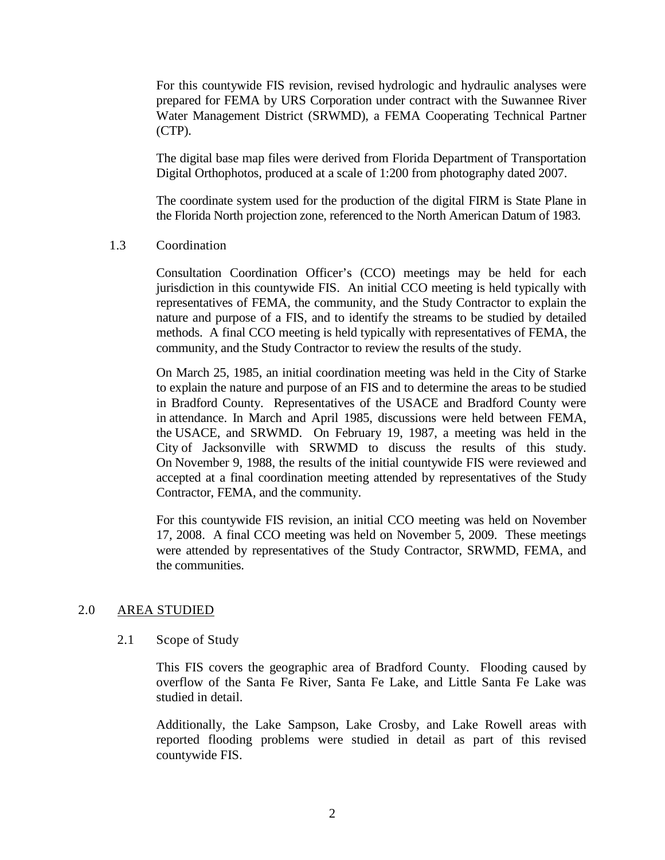For this countywide FIS revision, revised hydrologic and hydraulic analyses were prepared for FEMA by URS Corporation under contract with the Suwannee River Water Management District (SRWMD), a FEMA Cooperating Technical Partner (CTP).

The digital base map files were derived from Florida Department of Transportation Digital Orthophotos, produced at a scale of 1:200 from photography dated 2007.

The coordinate system used for the production of the digital FIRM is State Plane in the Florida North projection zone, referenced to the North American Datum of 1983.

#### 1.3 Coordination

Consultation Coordination Officer's (CCO) meetings may be held for each jurisdiction in this countywide FIS. An initial CCO meeting is held typically with representatives of FEMA, the community, and the Study Contractor to explain the nature and purpose of a FIS, and to identify the streams to be studied by detailed methods. A final CCO meeting is held typically with representatives of FEMA, the community, and the Study Contractor to review the results of the study.

On March 25, 1985, an initial coordination meeting was held in the City of Starke to explain the nature and purpose of an FIS and to determine the areas to be studied in Bradford County. Representatives of the USACE and Bradford County were in attendance. In March and April 1985, discussions were held between FEMA, the USACE, and SRWMD. On February 19, 1987, a meeting was held in the City of Jacksonville with SRWMD to discuss the results of this study. On November 9, 1988, the results of the initial countywide FIS were reviewed and accepted at a final coordination meeting attended by representatives of the Study Contractor, FEMA, and the community.

For this countywide FIS revision, an initial CCO meeting was held on November 17, 2008. A final CCO meeting was held on November 5, 2009. These meetings were attended by representatives of the Study Contractor, SRWMD, FEMA, and the communities.

# 2.0 AREA STUDIED

#### 2.1 Scope of Study

This FIS covers the geographic area of Bradford County. Flooding caused by overflow of the Santa Fe River, Santa Fe Lake, and Little Santa Fe Lake was studied in detail.

Additionally, the Lake Sampson, Lake Crosby, and Lake Rowell areas with reported flooding problems were studied in detail as part of this revised countywide FIS.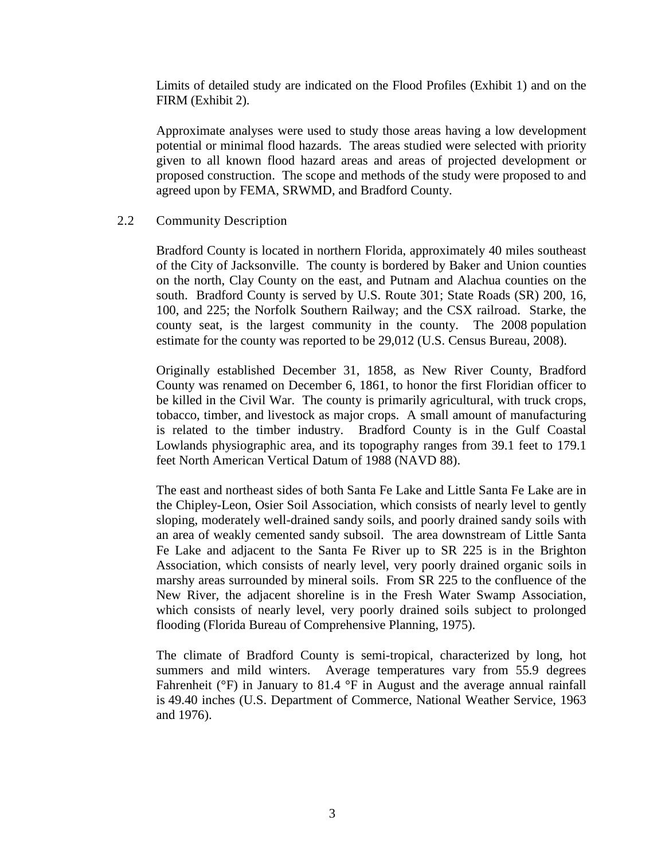Limits of detailed study are indicated on the Flood Profiles (Exhibit 1) and on the FIRM (Exhibit 2).

Approximate analyses were used to study those areas having a low development potential or minimal flood hazards. The areas studied were selected with priority given to all known flood hazard areas and areas of projected development or proposed construction. The scope and methods of the study were proposed to and agreed upon by FEMA, SRWMD, and Bradford County.

# 2.2 Community Description

Bradford County is located in northern Florida, approximately 40 miles southeast of the City of Jacksonville. The county is bordered by Baker and Union counties on the north, Clay County on the east, and Putnam and Alachua counties on the south. Bradford County is served by U.S. Route 301; State Roads (SR) 200, 16, 100, and 225; the Norfolk Southern Railway; and the CSX railroad. Starke, the county seat, is the largest community in the county. The 2008 population estimate for the county was reported to be 29,012 (U.S. Census Bureau, 2008).

Originally established December 31, 1858, as New River County, Bradford County was renamed on December 6, 1861, to honor the first Floridian officer to be killed in the Civil War. The county is primarily agricultural, with truck crops, tobacco, timber, and livestock as major crops. A small amount of manufacturing is related to the timber industry. Bradford County is in the Gulf Coastal Lowlands physiographic area, and its topography ranges from 39.1 feet to 179.1 feet North American Vertical Datum of 1988 (NAVD 88).

The east and northeast sides of both Santa Fe Lake and Little Santa Fe Lake are in the Chipley-Leon, Osier Soil Association, which consists of nearly level to gently sloping, moderately well-drained sandy soils, and poorly drained sandy soils with an area of weakly cemented sandy subsoil. The area downstream of Little Santa Fe Lake and adjacent to the Santa Fe River up to SR 225 is in the Brighton Association, which consists of nearly level, very poorly drained organic soils in marshy areas surrounded by mineral soils. From SR 225 to the confluence of the New River, the adjacent shoreline is in the Fresh Water Swamp Association, which consists of nearly level, very poorly drained soils subject to prolonged flooding (Florida Bureau of Comprehensive Planning, 1975).

The climate of Bradford County is semi-tropical, characterized by long, hot summers and mild winters. Average temperatures vary from 55.9 degrees Fahrenheit ( ${}^{\circ}$ F) in January to 81.4  ${}^{\circ}$ F in August and the average annual rainfall is 49.40 inches (U.S. Department of Commerce, National Weather Service, 1963 and 1976).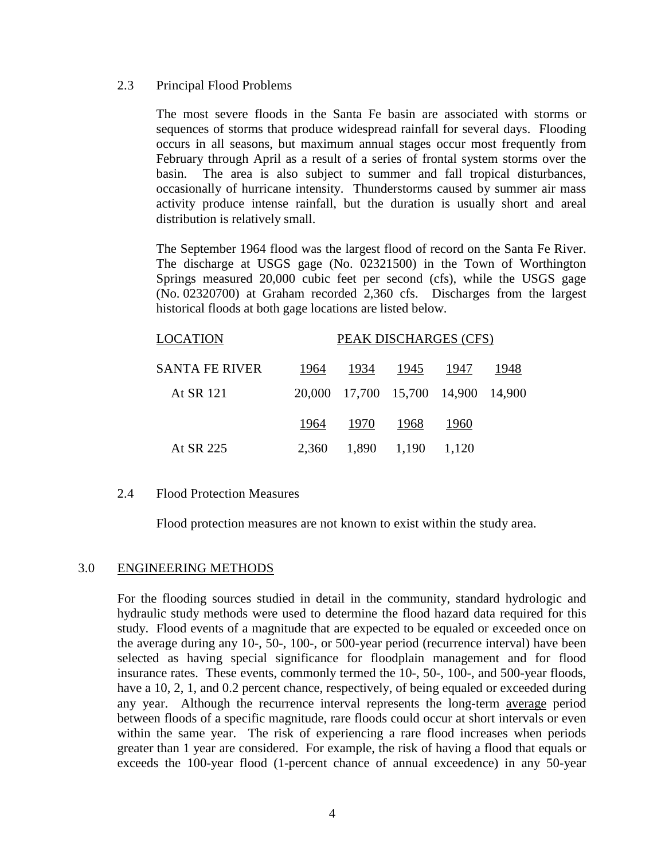#### 2.3 Principal Flood Problems

The most severe floods in the Santa Fe basin are associated with storms or sequences of storms that produce widespread rainfall for several days. Flooding occurs in all seasons, but maximum annual stages occur most frequently from February through April as a result of a series of frontal system storms over the basin. The area is also subject to summer and fall tropical disturbances, occasionally of hurricane intensity. Thunderstorms caused by summer air mass activity produce intense rainfall, but the duration is usually short and areal distribution is relatively small.

The September 1964 flood was the largest flood of record on the Santa Fe River. The discharge at USGS gage (No. 02321500) in the Town of Worthington Springs measured 20,000 cubic feet per second (cfs), while the USGS gage (No. 02320700) at Graham recorded 2,360 cfs. Discharges from the largest historical floods at both gage locations are listed below.

| LOCATION       | PEAK DISCHARGES (CFS) |      |                                    |       |      |  |
|----------------|-----------------------|------|------------------------------------|-------|------|--|
| SANTA FE RIVER | 1964                  |      | 1934 1945                          | -1947 | 1948 |  |
| At SR 121      |                       |      | 20,000 17,700 15,700 14,900 14,900 |       |      |  |
|                | 1964                  | 1970 | 1968                               | 1960  |      |  |
| At SR 225      | 2,360                 |      | 1,890 1,190 1,120                  |       |      |  |

#### 2.4 Flood Protection Measures

Flood protection measures are not known to exist within the study area.

#### 3.0 ENGINEERING METHODS

For the flooding sources studied in detail in the community, standard hydrologic and hydraulic study methods were used to determine the flood hazard data required for this study. Flood events of a magnitude that are expected to be equaled or exceeded once on the average during any 10-, 50-, 100-, or 500-year period (recurrence interval) have been selected as having special significance for floodplain management and for flood insurance rates. These events, commonly termed the 10-, 50-, 100-, and 500-year floods, have a 10, 2, 1, and 0.2 percent chance, respectively, of being equaled or exceeded during any year. Although the recurrence interval represents the long-term average period between floods of a specific magnitude, rare floods could occur at short intervals or even within the same year. The risk of experiencing a rare flood increases when periods greater than 1 year are considered. For example, the risk of having a flood that equals or exceeds the 100-year flood (1-percent chance of annual exceedence) in any 50-year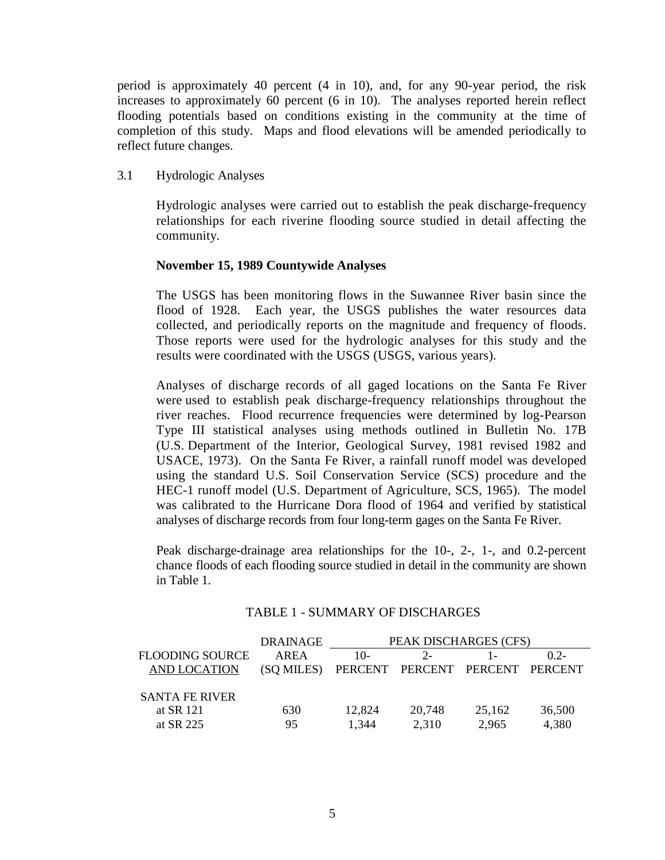period is approximately 40 percent (4 in 10), and, for any 90-year period, the risk increases to approximately 60 percent (6 in 10). The analyses reported herein reflect flooding potentials based on conditions existing in the community at the time of completion of this study. Maps and flood elevations will be amended periodically to reflect future changes.

3.1 Hydrologic Analyses

Hydrologic analyses were carried out to establish the peak discharge-frequency relationships for each riverine flooding source studied in detail affecting the community.

# **November 15, 1989 Countywide Analyses**

The USGS has been monitoring flows in the Suwannee River basin since the flood of 1928. Each year, the USGS publishes the water resources data collected, and periodically reports on the magnitude and frequency of floods. Those reports were used for the hydrologic analyses for this study and the results were coordinated with the USGS (USGS, various years).

Analyses of discharge records of all gaged locations on the Santa Fe River were used to establish peak discharge-frequency relationships throughout the river reaches. Flood recurrence frequencies were determined by log-Pearson Type III statistical analyses using methods outlined in Bulletin No. 17B (U.S. Department of the Interior, Geological Survey, 1981 revised 1982 and USACE, 1973). On the Santa Fe River, a rainfall runoff model was developed using the standard U.S. Soil Conservation Service (SCS) procedure and the HEC-1 runoff model (U.S. Department of Agriculture, SCS, 1965). The model was calibrated to the Hurricane Dora flood of 1964 and verified by statistical analyses of discharge records from four long-term gages on the Santa Fe River.

Peak discharge-drainage area relationships for the 10-, 2-, 1-, and 0.2-percent chance floods of each flooding source studied in detail in the community are shown in Table 1.

|                       | DRAINAGE   | PEAK DISCHARGES (CFS)           |        |        |        |  |
|-----------------------|------------|---------------------------------|--------|--------|--------|--|
| FLOODING SOURCE       | AREA       | $10-$                           |        |        | $02-$  |  |
| AND LOCATION          | (SQ MILES) | PERCENT PERCENT PERCENT PERCENT |        |        |        |  |
|                       |            |                                 |        |        |        |  |
| <b>SANTA FE RIVER</b> |            |                                 |        |        |        |  |
| at SR 121             | 630        | 12,824                          | 20,748 | 25,162 | 36,500 |  |
| at SR 225             | 95         | 1,344                           | 2,310  | 2,965  | 4,380  |  |

# TABLE 1 - SUMMARY OF DISCHARGES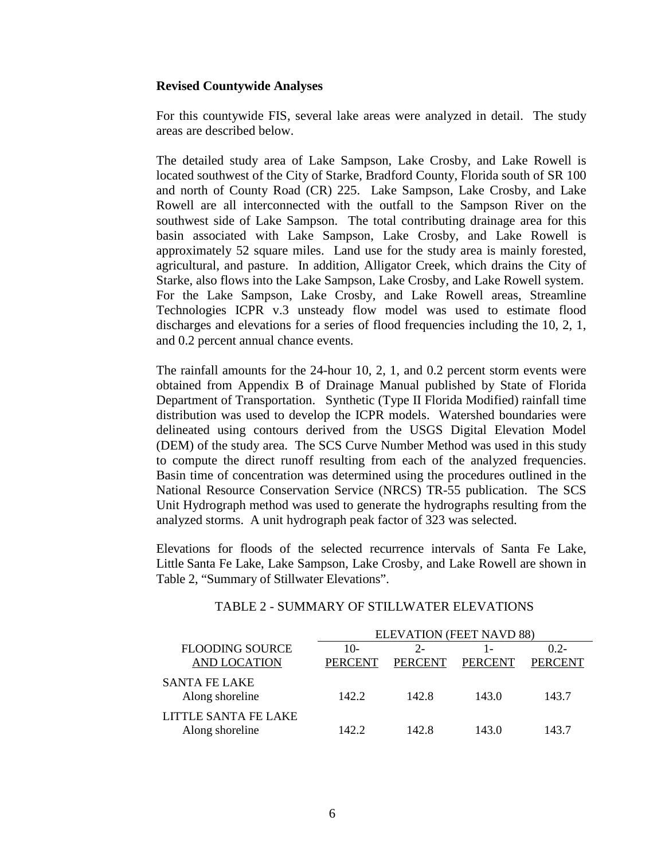#### **Revised Countywide Analyses**

For this countywide FIS, several lake areas were analyzed in detail. The study areas are described below.

The detailed study area of Lake Sampson, Lake Crosby, and Lake Rowell is located southwest of the City of Starke, Bradford County, Florida south of SR 100 and north of County Road (CR) 225. Lake Sampson, Lake Crosby, and Lake Rowell are all interconnected with the outfall to the Sampson River on the southwest side of Lake Sampson. The total contributing drainage area for this basin associated with Lake Sampson, Lake Crosby, and Lake Rowell is approximately 52 square miles. Land use for the study area is mainly forested, agricultural, and pasture. In addition, Alligator Creek, which drains the City of Starke, also flows into the Lake Sampson, Lake Crosby, and Lake Rowell system. For the Lake Sampson, Lake Crosby, and Lake Rowell areas, Streamline Technologies ICPR v.3 unsteady flow model was used to estimate flood discharges and elevations for a series of flood frequencies including the 10, 2, 1, and 0.2 percent annual chance events.

The rainfall amounts for the 24-hour 10, 2, 1, and 0.2 percent storm events were obtained from Appendix B of Drainage Manual published by State of Florida Department of Transportation. Synthetic (Type II Florida Modified) rainfall time distribution was used to develop the ICPR models. Watershed boundaries were delineated using contours derived from the USGS Digital Elevation Model (DEM) of the study area. The SCS Curve Number Method was used in this study to compute the direct runoff resulting from each of the analyzed frequencies. Basin time of concentration was determined using the procedures outlined in the National Resource Conservation Service (NRCS) TR-55 publication. The SCS Unit Hydrograph method was used to generate the hydrographs resulting from the analyzed storms. A unit hydrograph peak factor of 323 was selected.

Elevations for floods of the selected recurrence intervals of Santa Fe Lake, Little Santa Fe Lake, Lake Sampson, Lake Crosby, and Lake Rowell are shown in Table 2, "Summary of Stillwater Elevations".

|                                               | <b>ELEVATION (FEET NAVD 88)</b> |                         |                |                          |  |  |
|-----------------------------------------------|---------------------------------|-------------------------|----------------|--------------------------|--|--|
| <b>FLOODING SOURCE</b><br><b>AND LOCATION</b> | $10-$<br><b>PERCENT</b>         | $2 -$<br><b>PERCENT</b> | <b>PERCENT</b> | $02 -$<br><b>PERCENT</b> |  |  |
| <b>SANTA FE LAKE</b><br>Along shoreline       | 142.2                           | 142.8                   | 143.0          | 143.7                    |  |  |
| LITTLE SANTA FE LAKE<br>Along shoreline       | 142.2                           | 142.8                   | 143.0          | 143.7                    |  |  |

#### TABLE 2 - SUMMARY OF STILLWATER ELEVATIONS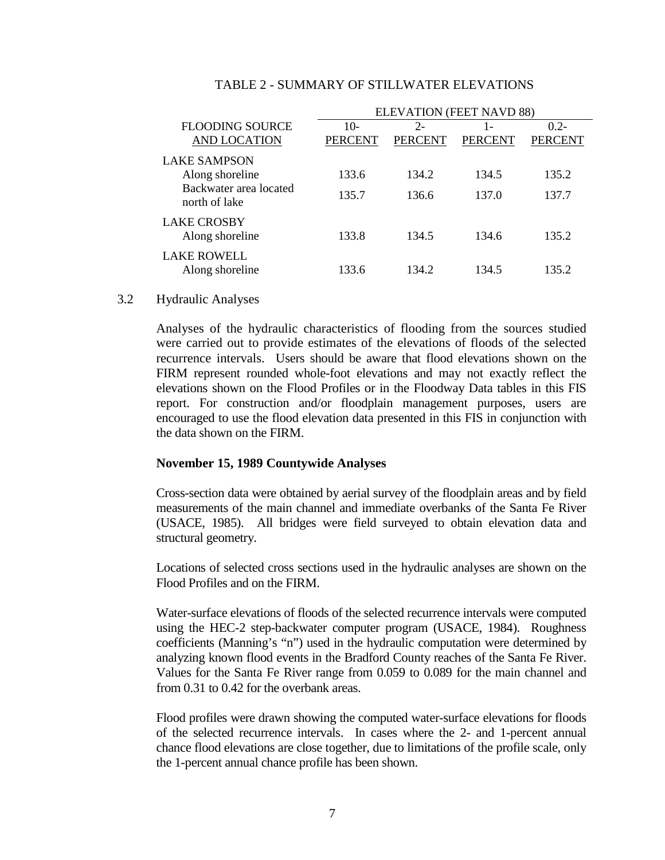|                                               | ELEVATION (FEET NAVD 88) |                 |                       |                           |  |  |
|-----------------------------------------------|--------------------------|-----------------|-----------------------|---------------------------|--|--|
| <b>FLOODING SOURCE</b><br><b>AND LOCATION</b> | $10-$<br><b>PERCENT</b>  | $2-$<br>PERCENT | 1 -<br><b>PERCENT</b> | $0.2 -$<br><b>PERCENT</b> |  |  |
| <b>LAKE SAMPSON</b>                           |                          |                 |                       |                           |  |  |
| Along shoreline                               | 133.6                    | 134.2           | 134.5                 | 135.2                     |  |  |
| Backwater area located<br>north of lake       | 135.7                    | 136.6           | 137.0                 | 137.7                     |  |  |
| <b>LAKE CROSBY</b><br>Along shoreline         | 133.8                    | 134.5           | 134.6                 | 135.2                     |  |  |
| <b>LAKE ROWELL</b><br>Along shoreline         | 133.6                    | 134.2           | 134.5                 | 135.2                     |  |  |

#### TABLE 2 - SUMMARY OF STILLWATER ELEVATIONS

#### 3.2 Hydraulic Analyses

Analyses of the hydraulic characteristics of flooding from the sources studied were carried out to provide estimates of the elevations of floods of the selected recurrence intervals. Users should be aware that flood elevations shown on the FIRM represent rounded whole-foot elevations and may not exactly reflect the elevations shown on the Flood Profiles or in the Floodway Data tables in this FIS report. For construction and/or floodplain management purposes, users are encouraged to use the flood elevation data presented in this FIS in conjunction with the data shown on the FIRM.

# **November 15, 1989 Countywide Analyses**

Cross-section data were obtained by aerial survey of the floodplain areas and by field measurements of the main channel and immediate overbanks of the Santa Fe River (USACE, 1985). All bridges were field surveyed to obtain elevation data and structural geometry.

Locations of selected cross sections used in the hydraulic analyses are shown on the Flood Profiles and on the FIRM.

Water-surface elevations of floods of the selected recurrence intervals were computed using the HEC-2 step-backwater computer program (USACE, 1984). Roughness coefficients (Manning's "n") used in the hydraulic computation were determined by analyzing known flood events in the Bradford County reaches of the Santa Fe River. Values for the Santa Fe River range from 0.059 to 0.089 for the main channel and from 0.31 to 0.42 for the overbank areas.

Flood profiles were drawn showing the computed water-surface elevations for floods of the selected recurrence intervals. In cases where the 2- and 1-percent annual chance flood elevations are close together, due to limitations of the profile scale, only the 1-percent annual chance profile has been shown.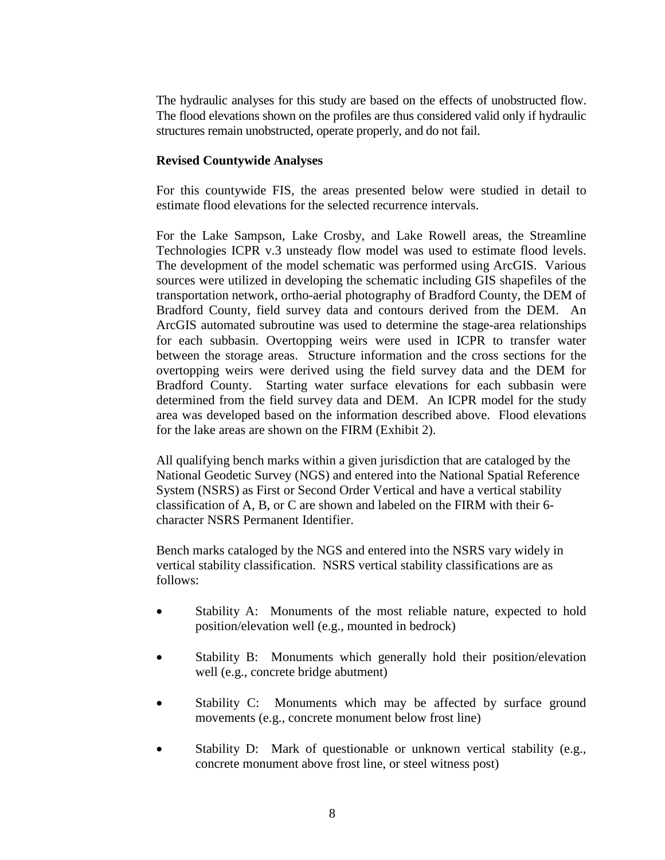The hydraulic analyses for this study are based on the effects of unobstructed flow. The flood elevations shown on the profiles are thus considered valid only if hydraulic structures remain unobstructed, operate properly, and do not fail.

#### **Revised Countywide Analyses**

For this countywide FIS, the areas presented below were studied in detail to estimate flood elevations for the selected recurrence intervals.

For the Lake Sampson, Lake Crosby, and Lake Rowell areas, the Streamline Technologies ICPR v.3 unsteady flow model was used to estimate flood levels. The development of the model schematic was performed using ArcGIS. Various sources were utilized in developing the schematic including GIS shapefiles of the transportation network, ortho-aerial photography of Bradford County, the DEM of Bradford County, field survey data and contours derived from the DEM. An ArcGIS automated subroutine was used to determine the stage-area relationships for each subbasin. Overtopping weirs were used in ICPR to transfer water between the storage areas. Structure information and the cross sections for the overtopping weirs were derived using the field survey data and the DEM for Bradford County. Starting water surface elevations for each subbasin were determined from the field survey data and DEM. An ICPR model for the study area was developed based on the information described above. Flood elevations for the lake areas are shown on the FIRM (Exhibit 2).

All qualifying bench marks within a given jurisdiction that are cataloged by the National Geodetic Survey (NGS) and entered into the National Spatial Reference System (NSRS) as First or Second Order Vertical and have a vertical stability classification of A, B, or C are shown and labeled on the FIRM with their 6 character NSRS Permanent Identifier.

Bench marks cataloged by the NGS and entered into the NSRS vary widely in vertical stability classification. NSRS vertical stability classifications are as follows:

- Stability A: Monuments of the most reliable nature, expected to hold position/elevation well (e.g., mounted in bedrock)
- Stability B: Monuments which generally hold their position/elevation well (e.g., concrete bridge abutment)
- Stability C: Monuments which may be affected by surface ground movements (e.g., concrete monument below frost line)
- Stability D: Mark of questionable or unknown vertical stability (e.g., concrete monument above frost line, or steel witness post)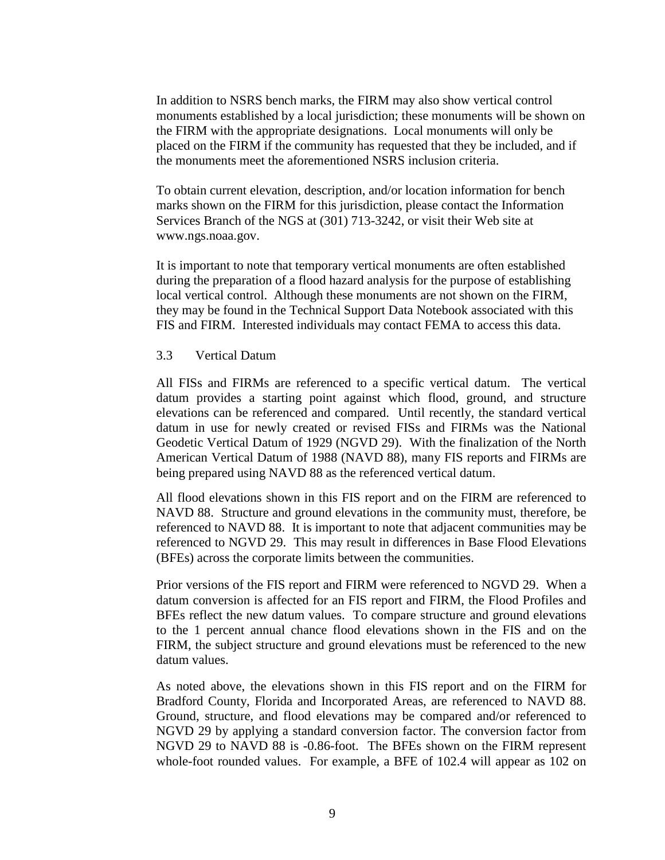In addition to NSRS bench marks, the FIRM may also show vertical control monuments established by a local jurisdiction; these monuments will be shown on the FIRM with the appropriate designations. Local monuments will only be placed on the FIRM if the community has requested that they be included, and if the monuments meet the aforementioned NSRS inclusion criteria.

To obtain current elevation, description, and/or location information for bench marks shown on the FIRM for this jurisdiction, please contact the Information Services Branch of the NGS at (301) 713-3242, or visit their Web site at [www.ngs.noaa.gov.](http://www.ngs.noaa.gov/)

It is important to note that temporary vertical monuments are often established during the preparation of a flood hazard analysis for the purpose of establishing local vertical control. Although these monuments are not shown on the FIRM, they may be found in the Technical Support Data Notebook associated with this FIS and FIRM. Interested individuals may contact FEMA to access this data.

#### 3.3 Vertical Datum

All FISs and FIRMs are referenced to a specific vertical datum. The vertical datum provides a starting point against which flood, ground, and structure elevations can be referenced and compared. Until recently, the standard vertical datum in use for newly created or revised FISs and FIRMs was the National Geodetic Vertical Datum of 1929 (NGVD 29). With the finalization of the North American Vertical Datum of 1988 (NAVD 88), many FIS reports and FIRMs are being prepared using NAVD 88 as the referenced vertical datum.

All flood elevations shown in this FIS report and on the FIRM are referenced to NAVD 88. Structure and ground elevations in the community must, therefore, be referenced to NAVD 88. It is important to note that adjacent communities may be referenced to NGVD 29. This may result in differences in Base Flood Elevations (BFEs) across the corporate limits between the communities.

Prior versions of the FIS report and FIRM were referenced to NGVD 29. When a datum conversion is affected for an FIS report and FIRM, the Flood Profiles and BFEs reflect the new datum values. To compare structure and ground elevations to the 1 percent annual chance flood elevations shown in the FIS and on the FIRM, the subject structure and ground elevations must be referenced to the new datum values.

As noted above, the elevations shown in this FIS report and on the FIRM for Bradford County, Florida and Incorporated Areas, are referenced to NAVD 88. Ground, structure, and flood elevations may be compared and/or referenced to NGVD 29 by applying a standard conversion factor. The conversion factor from NGVD 29 to NAVD 88 is -0.86-foot. The BFEs shown on the FIRM represent whole-foot rounded values. For example, a BFE of 102.4 will appear as 102 on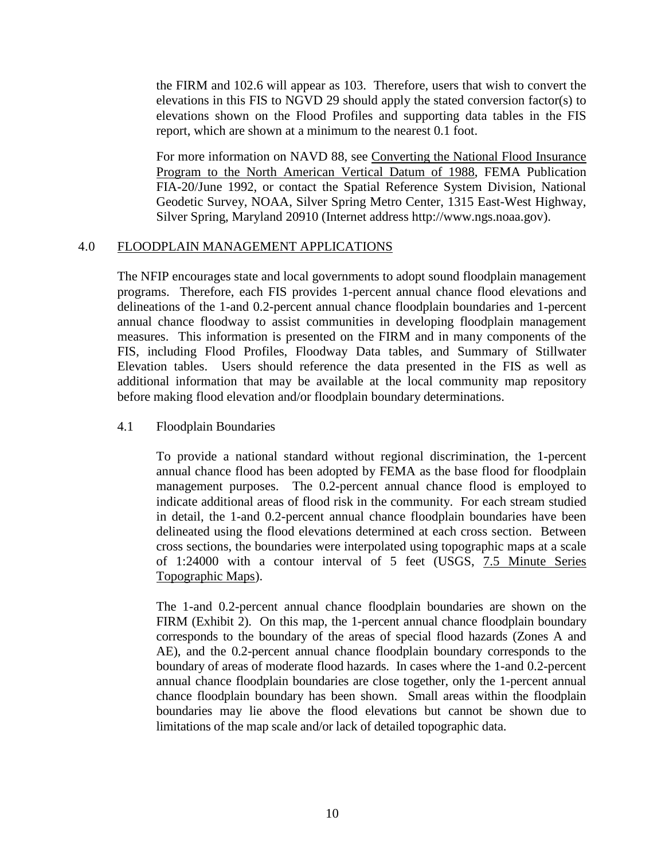the FIRM and 102.6 will appear as 103. Therefore, users that wish to convert the elevations in this FIS to NGVD 29 should apply the stated conversion factor(s) to elevations shown on the Flood Profiles and supporting data tables in the FIS report, which are shown at a minimum to the nearest 0.1 foot.

For more information on NAVD 88, see Converting the National Flood Insurance Program to the North American Vertical Datum of 1988, FEMA Publication FIA-20/June 1992, or contact the Spatial Reference System Division, National Geodetic Survey, NOAA, Silver Spring Metro Center, 1315 East-West Highway, Silver Spring, Maryland 20910 (Internet address http://www.ngs.noaa.gov).

# 4.0 FLOODPLAIN MANAGEMENT APPLICATIONS

The NFIP encourages state and local governments to adopt sound floodplain management programs. Therefore, each FIS provides 1-percent annual chance flood elevations and delineations of the 1-and 0.2-percent annual chance floodplain boundaries and 1-percent annual chance floodway to assist communities in developing floodplain management measures. This information is presented on the FIRM and in many components of the FIS, including Flood Profiles, Floodway Data tables, and Summary of Stillwater Elevation tables. Users should reference the data presented in the FIS as well as additional information that may be available at the local community map repository before making flood elevation and/or floodplain boundary determinations.

# 4.1 Floodplain Boundaries

To provide a national standard without regional discrimination, the 1-percent annual chance flood has been adopted by FEMA as the base flood for floodplain management purposes. The 0.2-percent annual chance flood is employed to indicate additional areas of flood risk in the community. For each stream studied in detail, the 1-and 0.2-percent annual chance floodplain boundaries have been delineated using the flood elevations determined at each cross section. Between cross sections, the boundaries were interpolated using topographic maps at a scale of 1:24000 with a contour interval of 5 feet (USGS, 7.5 Minute Series Topographic Maps).

The 1-and 0.2-percent annual chance floodplain boundaries are shown on the FIRM (Exhibit 2). On this map, the 1-percent annual chance floodplain boundary corresponds to the boundary of the areas of special flood hazards (Zones A and AE), and the 0.2-percent annual chance floodplain boundary corresponds to the boundary of areas of moderate flood hazards. In cases where the 1-and 0.2-percent annual chance floodplain boundaries are close together, only the 1-percent annual chance floodplain boundary has been shown. Small areas within the floodplain boundaries may lie above the flood elevations but cannot be shown due to limitations of the map scale and/or lack of detailed topographic data.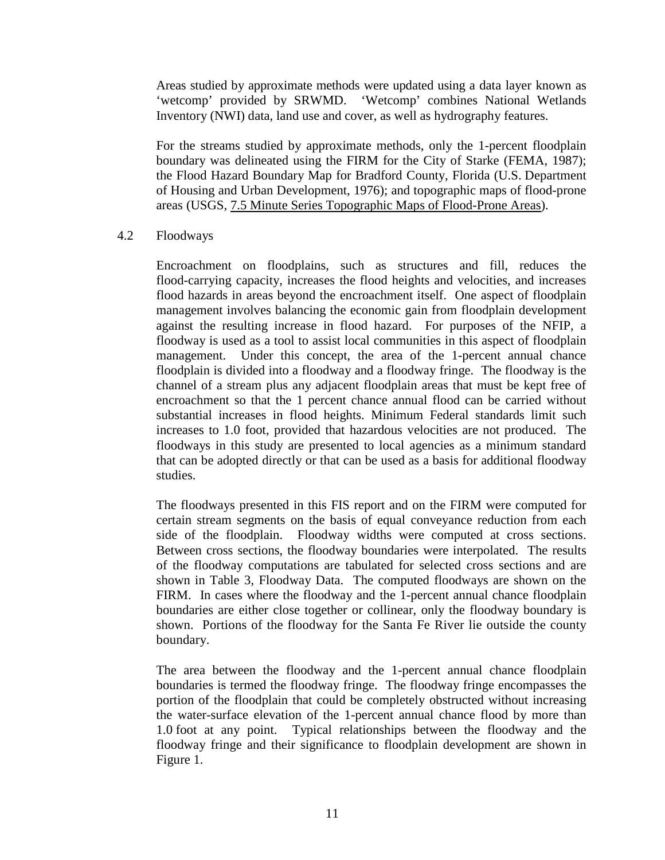Areas studied by approximate methods were updated using a data layer known as 'wetcomp' provided by SRWMD. 'Wetcomp' combines National Wetlands Inventory (NWI) data, land use and cover, as well as hydrography features.

For the streams studied by approximate methods, only the 1-percent floodplain boundary was delineated using the FIRM for the City of Starke (FEMA, 1987); the Flood Hazard Boundary Map for Bradford County, Florida (U.S. Department of Housing and Urban Development, 1976); and topographic maps of flood-prone areas (USGS, 7.5 Minute Series Topographic Maps of Flood-Prone Areas).

# 4.2 Floodways

Encroachment on floodplains, such as structures and fill, reduces the flood-carrying capacity, increases the flood heights and velocities, and increases flood hazards in areas beyond the encroachment itself. One aspect of floodplain management involves balancing the economic gain from floodplain development against the resulting increase in flood hazard. For purposes of the NFIP, a floodway is used as a tool to assist local communities in this aspect of floodplain management. Under this concept, the area of the 1-percent annual chance floodplain is divided into a floodway and a floodway fringe. The floodway is the channel of a stream plus any adjacent floodplain areas that must be kept free of encroachment so that the 1 percent chance annual flood can be carried without substantial increases in flood heights. Minimum Federal standards limit such increases to 1.0 foot, provided that hazardous velocities are not produced. The floodways in this study are presented to local agencies as a minimum standard that can be adopted directly or that can be used as a basis for additional floodway studies.

The floodways presented in this FIS report and on the FIRM were computed for certain stream segments on the basis of equal conveyance reduction from each side of the floodplain. Floodway widths were computed at cross sections. Between cross sections, the floodway boundaries were interpolated. The results of the floodway computations are tabulated for selected cross sections and are shown in Table 3, Floodway Data. The computed floodways are shown on the FIRM. In cases where the floodway and the 1-percent annual chance floodplain boundaries are either close together or collinear, only the floodway boundary is shown. Portions of the floodway for the Santa Fe River lie outside the county boundary.

The area between the floodway and the 1-percent annual chance floodplain boundaries is termed the floodway fringe. The floodway fringe encompasses the portion of the floodplain that could be completely obstructed without increasing the water-surface elevation of the 1-percent annual chance flood by more than 1.0 foot at any point. Typical relationships between the floodway and the floodway fringe and their significance to floodplain development are shown in Figure 1.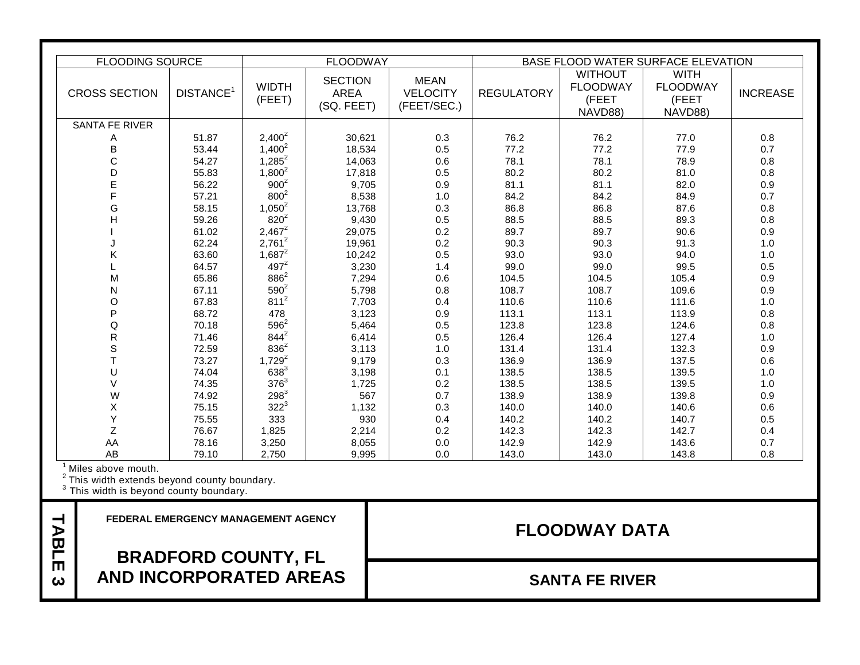|                                              | <b>FLOODING SOURCE</b>                                                                      |                                                                    |                        | <b>FLOODWAY</b>                             |                                               | BASE FLOOD WATER SURFACE ELEVATION |                                                       |                                                    |                 |
|----------------------------------------------|---------------------------------------------------------------------------------------------|--------------------------------------------------------------------|------------------------|---------------------------------------------|-----------------------------------------------|------------------------------------|-------------------------------------------------------|----------------------------------------------------|-----------------|
|                                              | <b>CROSS SECTION</b>                                                                        | DISTANCE <sup>1</sup>                                              | <b>WIDTH</b><br>(FEET) | <b>SECTION</b><br><b>AREA</b><br>(SQ. FEET) | <b>MEAN</b><br><b>VELOCITY</b><br>(FEET/SEC.) | <b>REGULATORY</b>                  | <b>WITHOUT</b><br><b>FLOODWAY</b><br>(FEET<br>NAVD88) | <b>WITH</b><br><b>FLOODWAY</b><br>(FEET<br>NAVD88) | <b>INCREASE</b> |
|                                              | <b>SANTA FE RIVER</b>                                                                       |                                                                    |                        |                                             |                                               |                                    |                                                       |                                                    |                 |
|                                              | Α                                                                                           | 51.87                                                              | $2,400^2$              | 30,621                                      | 0.3                                           | 76.2                               | 76.2                                                  | 77.0                                               | 0.8             |
|                                              | B                                                                                           | 53.44                                                              | $1,400^2$              | 18,534                                      | 0.5                                           | 77.2                               | 77.2                                                  | 77.9                                               | 0.7             |
|                                              | C                                                                                           | 54.27                                                              | $1,285^2$              | 14,063                                      | 0.6                                           | 78.1                               | 78.1                                                  | 78.9                                               | 0.8             |
|                                              | D                                                                                           | 55.83                                                              | $1,800^2$              | 17,818                                      | 0.5                                           | 80.2                               | 80.2                                                  | 81.0                                               | 0.8             |
|                                              | E                                                                                           | 56.22                                                              | $900^2$                | 9,705                                       | 0.9                                           | 81.1                               | 81.1                                                  | 82.0                                               | 0.9             |
|                                              | Ē                                                                                           | 57.21                                                              | $800^2$                | 8,538                                       | 1.0                                           | 84.2                               | 84.2                                                  | 84.9                                               | 0.7             |
|                                              | G                                                                                           | 58.15                                                              | $1,050^2$              | 13,768                                      | 0.3                                           | 86.8                               | 86.8                                                  | 87.6                                               | 0.8             |
|                                              | Н                                                                                           | 59.26                                                              | $820^{2}$              | 9,430                                       | 0.5                                           | 88.5                               | 88.5                                                  | 89.3                                               | 0.8             |
|                                              |                                                                                             | 61.02                                                              | $2,467^2$<br>$2,761^2$ | 29,075                                      | 0.2                                           | 89.7                               | 89.7<br>90.3                                          | 90.6                                               | 0.9             |
|                                              | K                                                                                           | 62.24<br>63.60                                                     | $1,687^2$              | 19,961                                      | 0.2<br>0.5                                    | 90.3<br>93.0                       | 93.0                                                  | 91.3<br>94.0                                       | 1.0<br>1.0      |
|                                              |                                                                                             | 64.57                                                              | $497^2$                | 10,242<br>3,230                             | 1.4                                           | 99.0                               | 99.0                                                  | 99.5                                               | 0.5             |
|                                              | М                                                                                           | 65.86                                                              | $886^2$                | 7,294                                       | 0.6                                           | 104.5                              | 104.5                                                 | 105.4                                              | 0.9             |
|                                              | N                                                                                           | 67.11                                                              | $590^2$                | 5,798                                       | 0.8                                           | 108.7                              | 108.7                                                 | 109.6                                              | 0.9             |
|                                              | O                                                                                           | 67.83                                                              | $811^2$                | 7,703                                       | 0.4                                           | 110.6                              | 110.6                                                 | 111.6                                              | 1.0             |
|                                              | P                                                                                           | 68.72                                                              | 478                    | 3,123                                       | 0.9                                           | 113.1                              | 113.1                                                 | 113.9                                              | 0.8             |
|                                              | Q                                                                                           | 70.18                                                              | $596^2$                | 5,464                                       | 0.5                                           | 123.8                              | 123.8                                                 | 124.6                                              | 0.8             |
|                                              | $\mathsf R$                                                                                 | 71.46                                                              | $844^{2}$              | 6,414                                       | 0.5                                           | 126.4                              | 126.4                                                 | 127.4                                              | 1.0             |
|                                              | S                                                                                           | 72.59                                                              | $836^2$                | 3,113                                       | 1.0                                           | 131.4                              | 131.4                                                 | 132.3                                              | 0.9             |
|                                              | $\mathsf{T}$                                                                                | 73.27                                                              | $1,729^2$              | 9,179                                       | 0.3                                           | 136.9                              | 136.9                                                 | 137.5                                              | 0.6             |
|                                              | U                                                                                           | 74.04                                                              | $638^{3}$              | 3,198                                       | 0.1                                           | 138.5                              | 138.5                                                 | 139.5                                              | 1.0             |
|                                              | $\vee$                                                                                      | 74.35                                                              | $376^3$                | 1,725                                       | 0.2                                           | 138.5                              | 138.5                                                 | 139.5                                              | 1.0             |
|                                              | W                                                                                           | 74.92                                                              | $298^{3}$              | 567                                         | 0.7                                           | 138.9                              | 138.9                                                 | 139.8                                              | 0.9             |
|                                              | X                                                                                           | 75.15                                                              | $322^{3}$              | 1,132                                       | 0.3                                           | 140.0                              | 140.0                                                 | 140.6                                              | 0.6             |
|                                              | Y                                                                                           | 75.55                                                              | 333                    | 930                                         | 0.4                                           | 140.2                              | 140.2                                                 | 140.7                                              | 0.5             |
|                                              | Z                                                                                           | 76.67                                                              | 1,825                  | 2,214                                       | 0.2                                           | 142.3                              | 142.3                                                 | 142.7                                              | 0.4             |
|                                              | AA                                                                                          | 78.16                                                              | 3,250                  | 8,055                                       | 0.0                                           | 142.9                              | 142.9                                                 | 143.6                                              | 0.7             |
|                                              | AB                                                                                          | 79.10                                                              | 2,750                  | 9.995                                       | 0.0                                           | 143.0                              | 143.0                                                 | 143.8                                              | 0.8             |
|                                              | Miles above mouth.                                                                          |                                                                    |                        |                                             |                                               |                                    |                                                       |                                                    |                 |
|                                              | $2$ This width extends beyond county boundary.<br>$3$ This width is beyond county boundary. |                                                                    |                        |                                             |                                               |                                    |                                                       |                                                    |                 |
| ᅥ<br>⋗<br>$\overline{\mathbf{u}}$            |                                                                                             | <b>FEDERAL EMERGENCY MANAGEMENT AGENCY</b><br><b>FLOODWAY DATA</b> |                        |                                             |                                               |                                    |                                                       |                                                    |                 |
| Ĕ<br>$\blacksquare$<br>$\boldsymbol{\omega}$ | <b>BRADFORD COUNTY, FL</b><br><b>AND INCORPORATED AREAS</b>                                 |                                                                    |                        |                                             | <b>SANTA FE RIVER</b>                         |                                    |                                                       |                                                    |                 |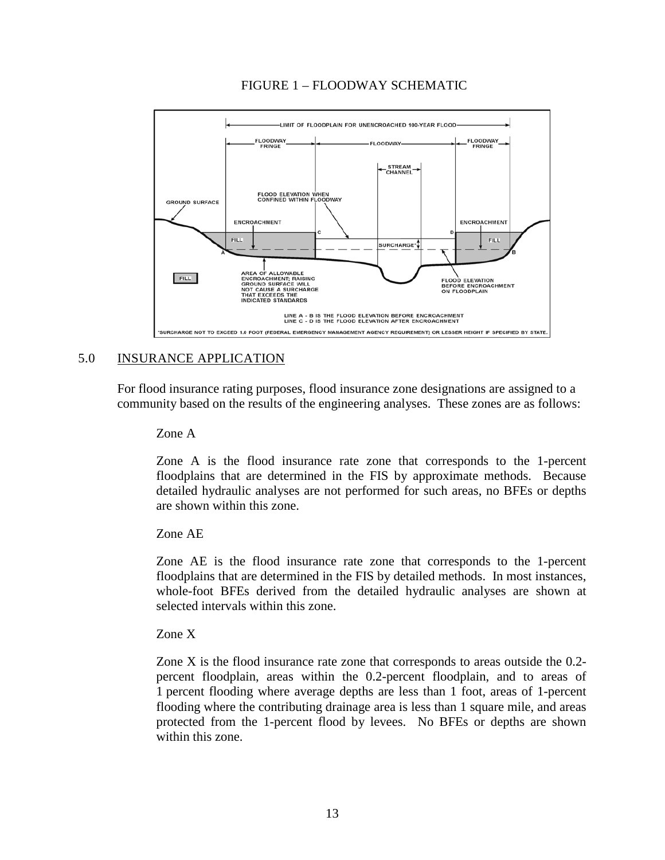

# FIGURE 1 – FLOODWAY SCHEMATIC

# 5.0 INSURANCE APPLICATION

For flood insurance rating purposes, flood insurance zone designations are assigned to a community based on the results of the engineering analyses. These zones are as follows:

Zone A

Zone A is the flood insurance rate zone that corresponds to the 1-percent floodplains that are determined in the FIS by approximate methods. Because detailed hydraulic analyses are not performed for such areas, no BFEs or depths are shown within this zone.

# Zone AE

Zone AE is the flood insurance rate zone that corresponds to the 1-percent floodplains that are determined in the FIS by detailed methods. In most instances, whole-foot BFEs derived from the detailed hydraulic analyses are shown at selected intervals within this zone.

Zone X

Zone X is the flood insurance rate zone that corresponds to areas outside the 0.2 percent floodplain, areas within the 0.2-percent floodplain, and to areas of 1 percent flooding where average depths are less than 1 foot, areas of 1-percent flooding where the contributing drainage area is less than 1 square mile, and areas protected from the 1-percent flood by levees. No BFEs or depths are shown within this zone.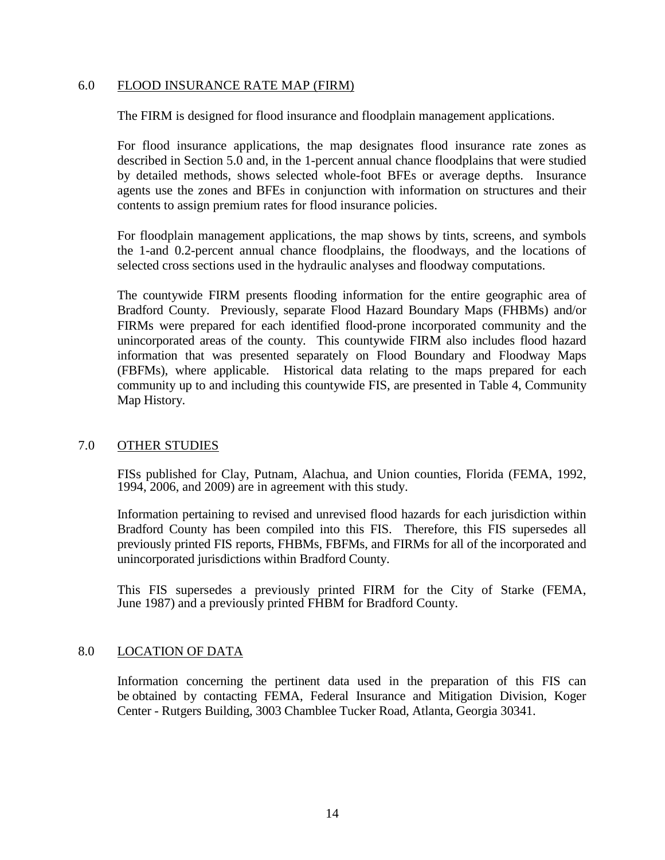#### 6.0 FLOOD INSURANCE RATE MAP (FIRM)

The FIRM is designed for flood insurance and floodplain management applications.

For flood insurance applications, the map designates flood insurance rate zones as described in Section 5.0 and, in the 1-percent annual chance floodplains that were studied by detailed methods, shows selected whole-foot BFEs or average depths. Insurance agents use the zones and BFEs in conjunction with information on structures and their contents to assign premium rates for flood insurance policies.

For floodplain management applications, the map shows by tints, screens, and symbols the 1-and 0.2-percent annual chance floodplains, the floodways, and the locations of selected cross sections used in the hydraulic analyses and floodway computations.

The countywide FIRM presents flooding information for the entire geographic area of Bradford County. Previously, separate Flood Hazard Boundary Maps (FHBMs) and/or FIRMs were prepared for each identified flood-prone incorporated community and the unincorporated areas of the county. This countywide FIRM also includes flood hazard information that was presented separately on Flood Boundary and Floodway Maps (FBFMs), where applicable. Historical data relating to the maps prepared for each community up to and including this countywide FIS, are presented in Table 4, Community Map History.

# 7.0 OTHER STUDIES

FISs published for Clay, Putnam, Alachua, and Union counties, Florida (FEMA, 1992, 1994, 2006, and 2009) are in agreement with this study.

Information pertaining to revised and unrevised flood hazards for each jurisdiction within Bradford County has been compiled into this FIS. Therefore, this FIS supersedes all previously printed FIS reports, FHBMs, FBFMs, and FIRMs for all of the incorporated and unincorporated jurisdictions within Bradford County.

This FIS supersedes a previously printed FIRM for the City of Starke (FEMA, June 1987) and a previously printed FHBM for Bradford County.

# 8.0 LOCATION OF DATA

Information concerning the pertinent data used in the preparation of this FIS can be obtained by contacting FEMA, Federal Insurance and Mitigation Division, Koger Center - Rutgers Building, 3003 Chamblee Tucker Road, Atlanta, Georgia 30341.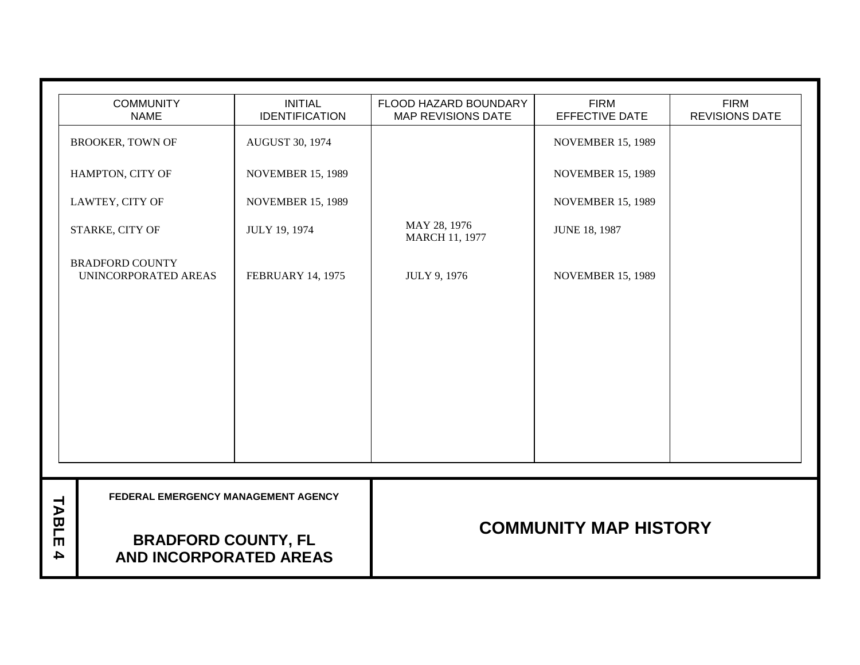|                           | <b>COMMUNITY</b><br><b>INITIAL</b><br><b>FIRM</b><br><b>FIRM</b><br>FLOOD HAZARD BOUNDARY |                          |                                |                          |                       |  |  |  |  |  |
|---------------------------|-------------------------------------------------------------------------------------------|--------------------------|--------------------------------|--------------------------|-----------------------|--|--|--|--|--|
|                           | <b>NAME</b>                                                                               | <b>IDENTIFICATION</b>    | <b>MAP REVISIONS DATE</b>      | EFFECTIVE DATE           | <b>REVISIONS DATE</b> |  |  |  |  |  |
|                           | <b>BROOKER, TOWN OF</b>                                                                   | <b>AUGUST 30, 1974</b>   |                                | <b>NOVEMBER 15, 1989</b> |                       |  |  |  |  |  |
|                           | HAMPTON, CITY OF                                                                          | <b>NOVEMBER 15, 1989</b> |                                | <b>NOVEMBER 15, 1989</b> |                       |  |  |  |  |  |
|                           | LAWTEY, CITY OF                                                                           | <b>NOVEMBER 15, 1989</b> |                                | <b>NOVEMBER 15, 1989</b> |                       |  |  |  |  |  |
|                           | STARKE, CITY OF                                                                           | JULY 19, 1974            | MAY 28, 1976<br>MARCH 11, 1977 | <b>JUNE 18, 1987</b>     |                       |  |  |  |  |  |
|                           | <b>BRADFORD COUNTY</b><br>UNINCORPORATED AREAS                                            | <b>FEBRUARY 14, 1975</b> | <b>JULY 9, 1976</b>            | <b>NOVEMBER 15, 1989</b> |                       |  |  |  |  |  |
|                           |                                                                                           |                          |                                |                          |                       |  |  |  |  |  |
|                           |                                                                                           |                          |                                |                          |                       |  |  |  |  |  |
|                           |                                                                                           |                          |                                |                          |                       |  |  |  |  |  |
|                           |                                                                                           |                          |                                |                          |                       |  |  |  |  |  |
|                           |                                                                                           |                          |                                |                          |                       |  |  |  |  |  |
|                           |                                                                                           |                          |                                |                          |                       |  |  |  |  |  |
|                           |                                                                                           |                          |                                |                          |                       |  |  |  |  |  |
|                           | FEDERAL EMERGENCY MANAGEMENT AGENCY                                                       |                          |                                |                          |                       |  |  |  |  |  |
| TABLE<br>$\blacktriangle$ | <b>BRADFORD COUNTY, FL</b><br>AND INCORPORATED AREAS                                      |                          | <b>COMMUNITY MAP HISTORY</b>   |                          |                       |  |  |  |  |  |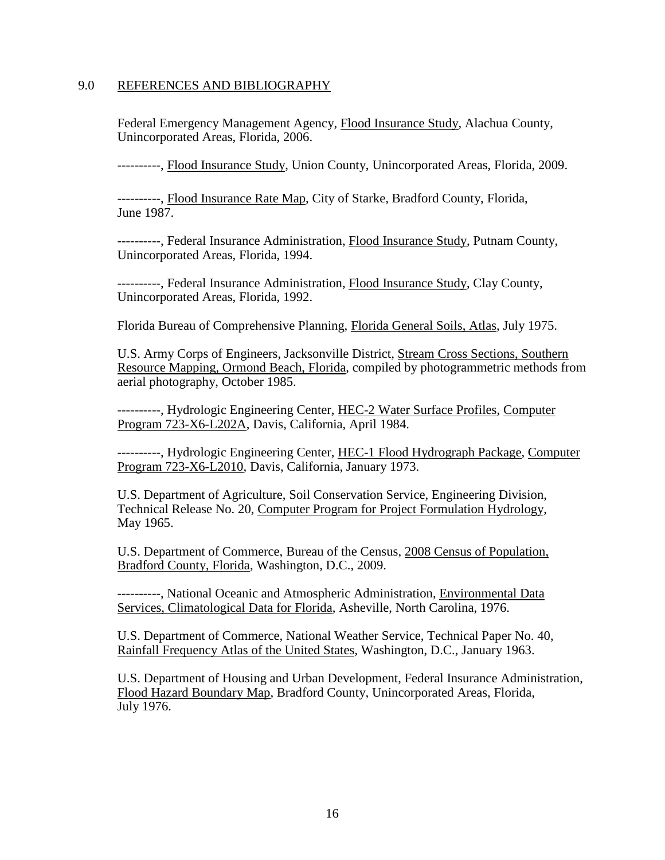#### 9.0 REFERENCES AND BIBLIOGRAPHY

Federal Emergency Management Agency, Flood Insurance Study, Alachua County, Unincorporated Areas, Florida, 2006.

----------, Flood Insurance Study, Union County, Unincorporated Areas, Florida, 2009.

----------, Flood Insurance Rate Map, City of Starke, Bradford County, Florida, June 1987.

----------, Federal Insurance Administration, Flood Insurance Study, Putnam County, Unincorporated Areas, Florida, 1994.

----------, Federal Insurance Administration, Flood Insurance Study, Clay County, Unincorporated Areas, Florida, 1992.

Florida Bureau of Comprehensive Planning, Florida General Soils, Atlas, July 1975.

U.S. Army Corps of Engineers, Jacksonville District, Stream Cross Sections, Southern Resource Mapping, Ormond Beach, Florida, compiled by photogrammetric methods from aerial photography, October 1985.

----------, Hydrologic Engineering Center, HEC-2 Water Surface Profiles, Computer Program 723-X6-L202A, Davis, California, April 1984.

----------, Hydrologic Engineering Center, HEC-1 Flood Hydrograph Package, Computer Program 723-X6-L2010, Davis, California, January 1973.

U.S. Department of Agriculture, Soil Conservation Service, Engineering Division, Technical Release No. 20, Computer Program for Project Formulation Hydrology, May 1965.

U.S. Department of Commerce, Bureau of the Census, 2008 Census of Population, Bradford County, Florida, Washington, D.C., 2009.

----------, National Oceanic and Atmospheric Administration, Environmental Data Services, Climatological Data for Florida, Asheville, North Carolina, 1976.

U.S. Department of Commerce, National Weather Service, Technical Paper No. 40, Rainfall Frequency Atlas of the United States, Washington, D.C., January 1963.

U.S. Department of Housing and Urban Development, Federal Insurance Administration, Flood Hazard Boundary Map, Bradford County, Unincorporated Areas, Florida, July 1976.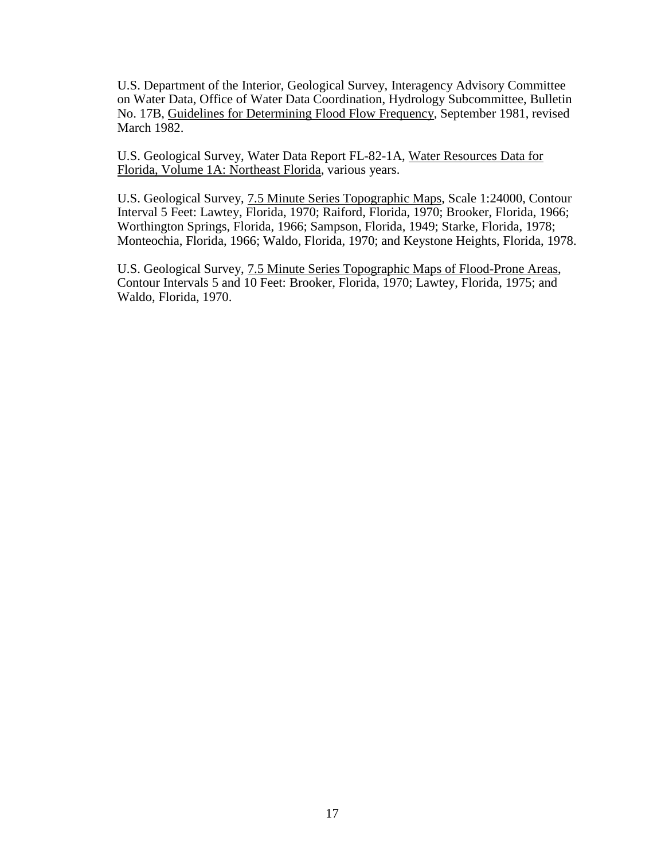U.S. Department of the Interior, Geological Survey, Interagency Advisory Committee on Water Data, Office of Water Data Coordination, Hydrology Subcommittee, Bulletin No. 17B, Guidelines for Determining Flood Flow Frequency, September 1981, revised March 1982.

U.S. Geological Survey, Water Data Report FL-82-1A, Water Resources Data for Florida, Volume 1A: Northeast Florida, various years.

U.S. Geological Survey, 7.5 Minute Series Topographic Maps, Scale 1:24000, Contour Interval 5 Feet: Lawtey, Florida, 1970; Raiford, Florida, 1970; Brooker, Florida, 1966; Worthington Springs, Florida, 1966; Sampson, Florida, 1949; Starke, Florida, 1978; Monteochia, Florida, 1966; Waldo, Florida, 1970; and Keystone Heights, Florida, 1978.

U.S. Geological Survey, 7.5 Minute Series Topographic Maps of Flood-Prone Areas, Contour Intervals 5 and 10 Feet: Brooker, Florida, 1970; Lawtey, Florida, 1975; and Waldo, Florida, 1970.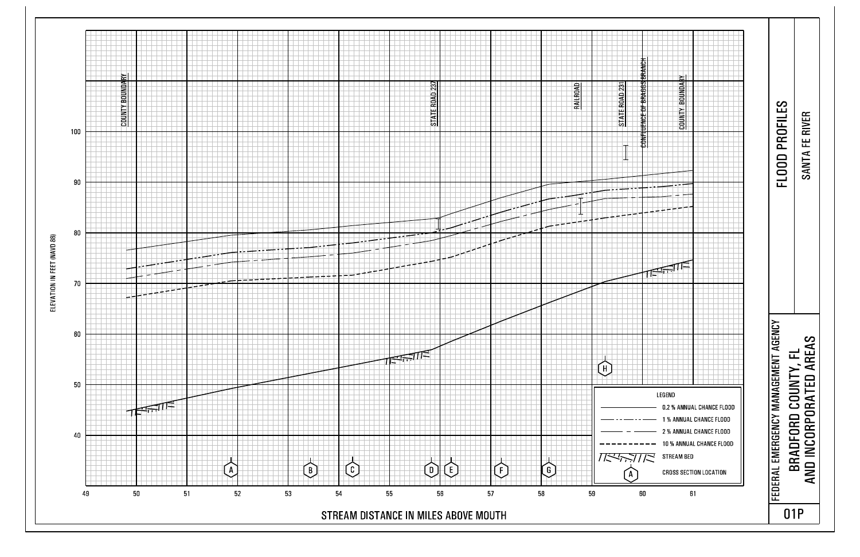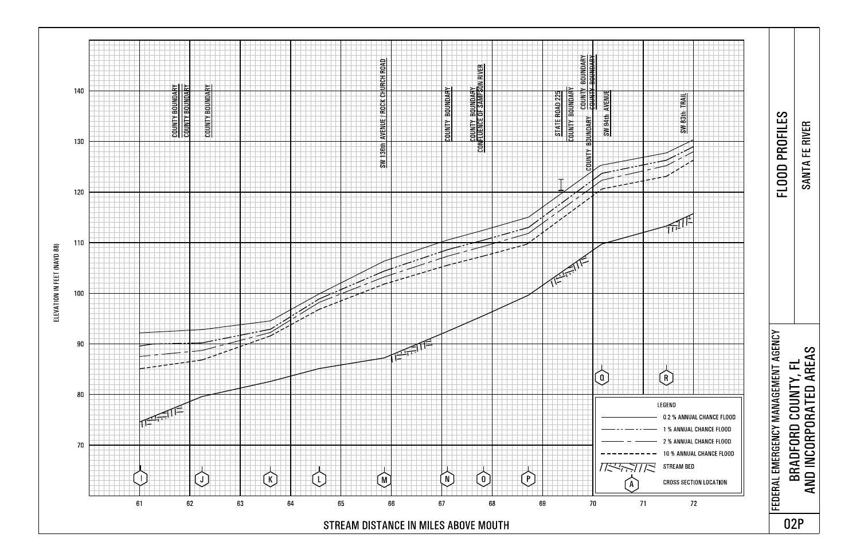